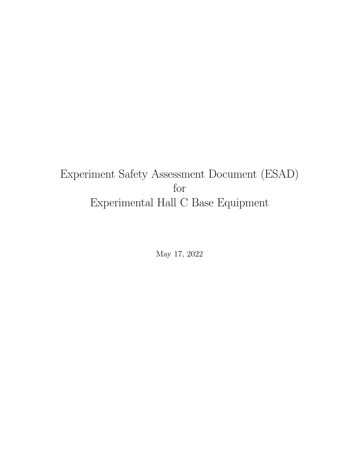# <span id="page-0-0"></span>Experiment Safety Assessment Document (ESAD) for Experimental Hall C Base Equipment

May 17, 2022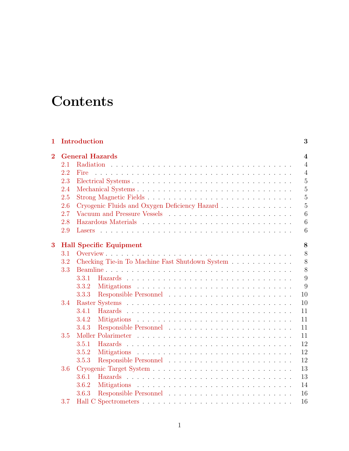# **Contents**

| 1              |     | Introduction                                                                                                                                                                                                                   | 3                        |
|----------------|-----|--------------------------------------------------------------------------------------------------------------------------------------------------------------------------------------------------------------------------------|--------------------------|
| $\overline{2}$ |     | <b>General Hazards</b>                                                                                                                                                                                                         | $\overline{\mathcal{A}}$ |
|                | 2.1 |                                                                                                                                                                                                                                | $\overline{4}$           |
|                | 2.2 | .<br>The contract of the contract of the contract of the contract of the contract of the contract of the contract of<br>Fire                                                                                                   | $\overline{4}$           |
|                | 2.3 |                                                                                                                                                                                                                                | $\overline{5}$           |
|                | 2.4 |                                                                                                                                                                                                                                | $\overline{5}$           |
|                | 2.5 | Strong Magnetic Fields                                                                                                                                                                                                         | $\overline{5}$           |
|                | 2.6 | Cryogenic Fluids and Oxygen Deficiency Hazard                                                                                                                                                                                  | $\overline{5}$           |
|                | 2.7 |                                                                                                                                                                                                                                | 6                        |
|                | 2.8 | Hazardous Materials et al., and a series and a series and a series of the series of the series of the series of the series of the series of the series of the series of the series of the series of the series of the series o | 6                        |
|                | 2.9 |                                                                                                                                                                                                                                | 6                        |
|                |     |                                                                                                                                                                                                                                |                          |
| 3              |     | <b>Hall Specific Equipment</b>                                                                                                                                                                                                 | 8                        |
|                | 3.1 |                                                                                                                                                                                                                                | 8                        |
|                | 3.2 | Checking Tie-in To Machine Fast Shutdown System                                                                                                                                                                                | 8                        |
|                | 3.3 |                                                                                                                                                                                                                                | 8                        |
|                |     | 3.3.1                                                                                                                                                                                                                          | 9                        |
|                |     | 3.3.2                                                                                                                                                                                                                          | 9                        |
|                |     | 3.3.3                                                                                                                                                                                                                          | 10                       |
|                | 3.4 |                                                                                                                                                                                                                                | 10                       |
|                |     | 3.4.1                                                                                                                                                                                                                          | 11                       |
|                |     | 3.4.2                                                                                                                                                                                                                          | 11                       |
|                |     | 3.4.3                                                                                                                                                                                                                          | 11                       |
|                | 3.5 |                                                                                                                                                                                                                                | 11                       |
|                |     | 3.5.1                                                                                                                                                                                                                          | 12                       |
|                |     | 3.5.2                                                                                                                                                                                                                          | 12                       |
|                |     | 3.5.3                                                                                                                                                                                                                          | 12                       |
|                | 3.6 |                                                                                                                                                                                                                                | 13                       |
|                |     | 3.6.1                                                                                                                                                                                                                          | 13                       |
|                |     | 3.6.2                                                                                                                                                                                                                          | 14                       |
|                |     | 3.6.3                                                                                                                                                                                                                          | 16                       |
|                | 3.7 |                                                                                                                                                                                                                                | 16                       |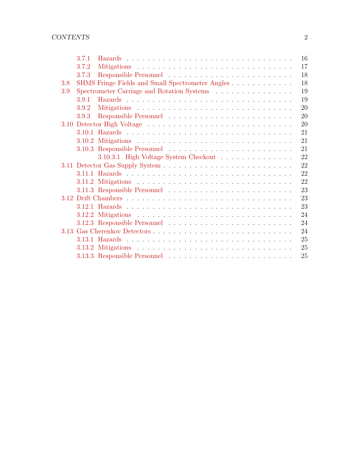|     | 3.7.1 | 16                                                     |
|-----|-------|--------------------------------------------------------|
|     | 3.7.2 | 17                                                     |
|     | 3.7.3 | 18                                                     |
| 3.8 |       | 18<br>SHMS Fringe Fields and Small Spectrometer Angles |
| 3.9 |       | 19<br>Spectrometer Carriage and Rotation Systems       |
|     | 3.9.1 | 19                                                     |
|     | 3.9.2 | 20                                                     |
|     | 3.9.3 | 20                                                     |
|     |       | 20                                                     |
|     |       | 21                                                     |
|     |       | 21                                                     |
|     |       | 21                                                     |
|     |       | 22<br>3.10.3.1 High Voltage System Checkout            |
|     |       | 22                                                     |
|     |       | 22                                                     |
|     |       | 22                                                     |
|     |       | 23                                                     |
|     |       | 23                                                     |
|     |       | 23                                                     |
|     |       | 24                                                     |
|     |       | 24                                                     |
|     |       | 24                                                     |
|     |       | 25                                                     |
|     |       | 25                                                     |
|     |       | 25                                                     |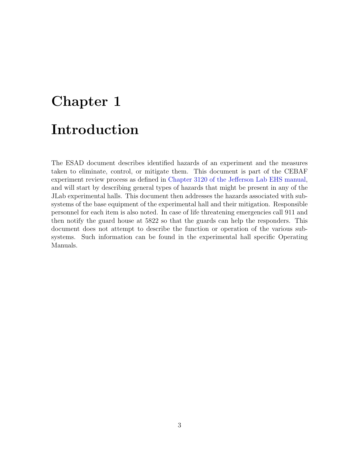# <span id="page-3-0"></span>Chapter 1 Introduction

The ESAD document describes identified hazards of an experiment and the measures taken to eliminate, control, or mitigate them. This document is part of the CEBAF experiment review process as defined in [Chapter 3120 of the Jefferson Lab EHS manual,](http://www.jlab.org/ehs/ehsmanual/manual/3120.html) and will start by describing general types of hazards that might be present in any of the JLab experimental halls. This document then addresses the hazards associated with subsystems of the base equipment of the experimental hall and their mitigation. Responsible personnel for each item is also noted. In case of life threatening emergencies call 911 and then notify the guard house at 5822 so that the guards can help the responders. This document does not attempt to describe the function or operation of the various subsystems. Such information can be found in the experimental hall specific Operating Manuals.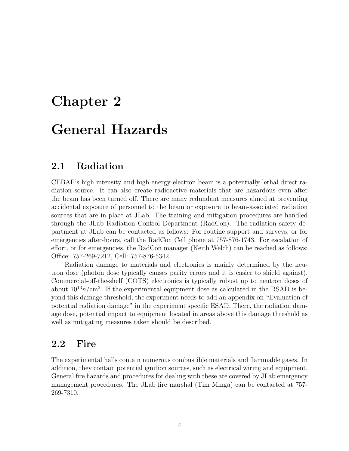# <span id="page-4-0"></span>Chapter 2

# General Hazards

# <span id="page-4-1"></span>2.1 Radiation

CEBAF's high intensity and high energy electron beam is a potentially lethal direct radiation source. It can also create radioactive materials that are hazardous even after the beam has been turned off. There are many redundant measures aimed at preventing accidental exposure of personnel to the beam or exposure to beam-associated radiation sources that are in place at JLab. The training and mitigation procedures are handled through the JLab Radiation Control Department (RadCon). The radiation safety department at JLab can be contacted as follows: For routine support and surveys, or for emergencies after-hours, call the RadCon Cell phone at 757-876-1743. For escalation of effort, or for emergencies, the RadCon manager (Keith Welch) can be reached as follows: Office: 757-269-7212, Cell: 757-876-5342.

Radiation damage to materials and electronics is mainly determined by the neutron dose (photon dose typically causes parity errors and it is easier to shield against). Commercial-off-the-shelf (COTS) electronics is typically robust up to neutron doses of about  $10^{13}n/cm^2$ . If the experimental equipment dose as calculated in the RSAD is beyond this damage threshold, the experiment needs to add an appendix on "Evaluation of potential radiation damage" in the experiment specific ESAD. There, the radiation damage dose, potential impact to equipment located in areas above this damage threshold as well as mitigating measures taken should be described.

## <span id="page-4-2"></span>2.2 Fire

The experimental halls contain numerous combustible materials and flammable gases. In addition, they contain potential ignition sources, such as electrical wiring and equipment. General fire hazards and procedures for dealing with these are covered by JLab emergency management procedures. The JLab fire marshal (Tim Minga) can be contacted at 757- 269-7310.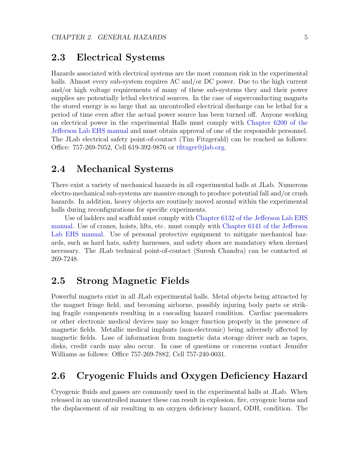## <span id="page-5-0"></span>2.3 Electrical Systems

Hazards associated with electrical systems are the most common risk in the experimental halls. Almost every sub-system requires AC and/or DC power. Due to the high current and/or high voltage requirements of many of these sub-systems they and their power supplies are potentially lethal electrical sources. In the case of superconducting magnets the stored energy is so large that an uncontrolled electrical discharge can be lethal for a period of time even after the actual power source has been turned off. Anyone working on electrical power in the experimental Halls must comply with [Chapter 6200 of the](http://www.jlab.org/ehs/ehsmanual/manual/6200.html) [Jefferson Lab EHS manual](http://www.jlab.org/ehs/ehsmanual/manual/6200.html) and must obtain approval of one of the responsible personnel. The JLab electrical safety point-of-contact (Tim Fitzgerald) can be reached as follows: Office: 757-269-7052, Cell 619-392-9876 or [tfitzger@jlab.org.](mailto:tfitzger@jlab.org)

## <span id="page-5-1"></span>2.4 Mechanical Systems

There exist a variety of mechanical hazards in all experimental halls at JLab. Numerous electro-mechanical sub-systems are massive enough to produce potential fall and/or crush hazards. In addition, heavy objects are routinely moved around within the experimental halls during reconfigurations for specific experiments.

Use of ladders and scaffold must comply with [Chapter 6132 of the Jefferson Lab EHS](http://www.jlab.org/ehs/ehsmanual/manual/6132.html) [manual.](http://www.jlab.org/ehs/ehsmanual/manual/6132.html) Use of cranes, hoists, lifts, etc. must comply with [Chapter 6141 of the Jefferson](http://www.jlab.org/ehs/ehsmanual/manual/6141.html) [Lab EHS manual.](http://www.jlab.org/ehs/ehsmanual/manual/6141.html) Use of personal protective equipment to mitigate mechanical hazards, such as hard hats, safety harnesses, and safety shoes are mandatory when deemed necessary. The JLab technical point-of-contact (Suresh Chandra) can be contacted at 269-7248.

# <span id="page-5-2"></span>2.5 Strong Magnetic Fields

Powerful magnets exist in all JLab experimental halls. Metal objects being attracted by the magnet fringe field, and becoming airborne, possibly injuring body parts or striking fragile components resulting in a cascading hazard condition. Cardiac pacemakers or other electronic medical devices may no longer function properly in the presence of magnetic fields. Metallic medical implants (non-electronic) being adversely affected by magnetic fields. Lose of information from magnetic data storage driver such as tapes, disks, credit cards may also occur. In case of questions or concerns contact Jennifer Williams as follows: Office 757-269-7882, Cell 757-240-0031.

# <span id="page-5-3"></span>2.6 Cryogenic Fluids and Oxygen Deficiency Hazard

Cryogenic fluids and gasses are commonly used in the experimental halls at JLab. When released in an uncontrolled manner these can result in explosion, fire, cryogenic burns and the displacement of air resulting in an oxygen deficiency hazard, ODH, condition. The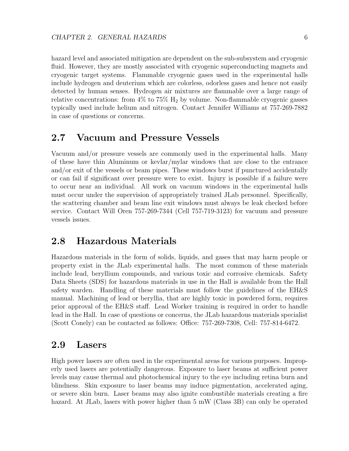hazard level and associated mitigation are dependent on the sub-subsystem and cryogenic fluid. However, they are mostly associated with cryogenic superconducting magnets and cryogenic target systems. Flammable cryogenic gases used in the experimental halls include hydrogen and deuterium which are colorless, odorless gases and hence not easily detected by human senses. Hydrogen air mixtures are flammable over a large range of relative concentrations: from  $4\%$  to  $75\%$   $H_2$  by volume. Non-flammable cryogenic gasses typically used include helium and nitrogen. Contact Jennifer Williams at 757-269-7882 in case of questions or concerns.

### <span id="page-6-0"></span>2.7 Vacuum and Pressure Vessels

Vacuum and/or pressure vessels are commonly used in the experimental halls. Many of these have thin Aluminum or kevlar/mylar windows that are close to the entrance and/or exit of the vessels or beam pipes. These windows burst if punctured accidentally or can fail if significant over pressure were to exist. Injury is possible if a failure were to occur near an individual. All work on vacuum windows in the experimental halls must occur under the supervision of appropriately trained JLab personnel. Specifically, the scattering chamber and beam line exit windows must always be leak checked before service. Contact Will Oren 757-269-7344 (Cell 757-719-3123) for vacuum and pressure vessels issues.

#### <span id="page-6-1"></span>2.8 Hazardous Materials

Hazardous materials in the form of solids, liquids, and gases that may harm people or property exist in the JLab experimental halls. The most common of these materials include lead, beryllium compounds, and various toxic and corrosive chemicals. Safety Data Sheets (SDS) for hazardous materials in use in the Hall is available from the Hall safety warden. Handling of these materials must follow the guidelines of the EH&S manual. Machining of lead or beryllia, that are highly toxic in powdered form, requires prior approval of the EH&S staff. Lead Worker training is required in order to handle lead in the Hall. In case of questions or concerns, the JLab hazardous materials specialist (Scott Conely) can be contacted as follows: Office: 757-269-7308, Cell: 757-814-6472.

## <span id="page-6-2"></span>2.9 Lasers

High power lasers are often used in the experimental areas for various purposes. Improperly used lasers are potentially dangerous. Exposure to laser beams at sufficient power levels may cause thermal and photochemical injury to the eye including retina burn and blindness. Skin exposure to laser beams may induce pigmentation, accelerated aging, or severe skin burn. Laser beams may also ignite combustible materials creating a fire hazard. At JLab, lasers with power higher than 5 mW (Class 3B) can only be operated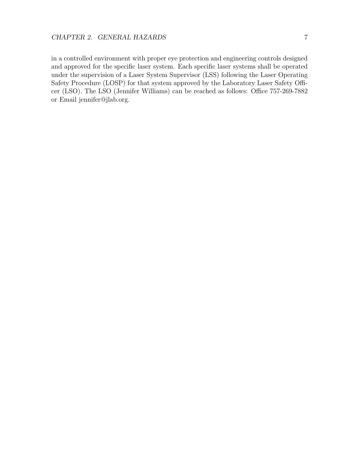in a controlled environment with proper eye protection and engineering controls designed and approved for the specific laser system. Each specific laser systems shall be operated under the supervision of a Laser System Supervisor (LSS) following the Laser Operating Safety Procedure (LOSP) for that system approved by the Laboratory Laser Safety Officer (LSO). The LSO (Jennifer Williams) can be reached as follows: Office 757-269-7882 or Email jennifer@jlab.org.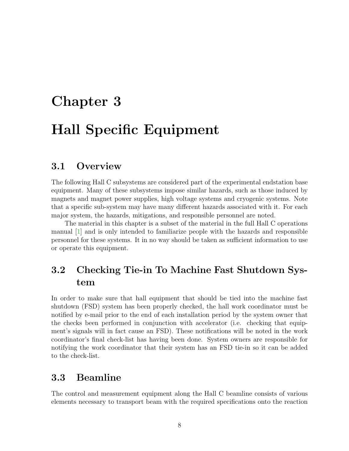# <span id="page-8-0"></span>Chapter 3 Hall Specific Equipment

## <span id="page-8-1"></span>3.1 Overview

The following Hall C subsystems are considered part of the experimental endstation base equipment. Many of these subsystems impose similar hazards, such as those induced by magnets and magnet power supplies, high voltage systems and cryogenic systems. Note that a specific sub-system may have many different hazards associated with it. For each major system, the hazards, mitigations, and responsible personnel are noted.

The material in this chapter is a subset of the material in the full Hall C operations manual [\[1\]](#page-26-0) and is only intended to familiarize people with the hazards and responsible personnel for these systems. It in no way should be taken as sufficient information to use or operate this equipment.

# <span id="page-8-2"></span>3.2 Checking Tie-in To Machine Fast Shutdown System

In order to make sure that hall equipment that should be tied into the machine fast shutdown (FSD) system has been properly checked, the hall work coordinator must be notified by e-mail prior to the end of each installation period by the system owner that the checks been performed in conjunction with accelerator (i.e. checking that equipment's signals will in fact cause an FSD). These notifications will be noted in the work coordinator's final check-list has having been done. System owners are responsible for notifying the work coordinator that their system has an FSD tie-in so it can be added to the check-list.

# <span id="page-8-3"></span>3.3 Beamline

The control and measurement equipment along the Hall C beamline consists of various elements necessary to transport beam with the required specifications onto the reaction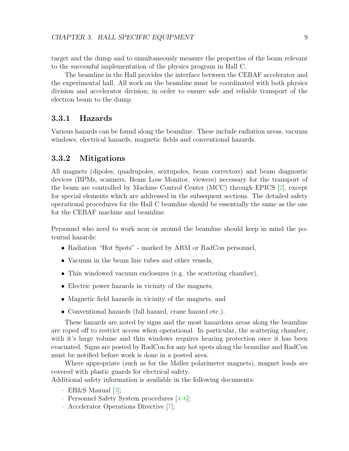target and the dump and to simultaneously measure the properties of the beam relevant to the successful implementation of the physics program in Hall C.

The beamline in the Hall provides the interface between the CEBAF accelerator and the experimental hall. All work on the beamline must be coordinated with both physics division and accelerator division; in order to ensure safe and reliable transport of the electron beam to the dump.

#### <span id="page-9-0"></span>3.3.1 Hazards

Various hazards can be found along the beamline. These include radiation areas, vacuum windows, electrical hazards, magnetic fields and conventional hazards.

#### <span id="page-9-1"></span>3.3.2 Mitigations

All magnets (dipoles, quadrupoles, sextupoles, beam correctors) and beam diagnostic devices (BPMs, scanners, Beam Loss Monitor, viewers) necessary for the transport of the beam are controlled by Machine Control Center (MCC) through EPICS [\[2\]](#page-26-1), except for special elements which are addressed in the subsequent sections. The detailed safety operational procedures for the Hall C beamline should be essentially the same as the one for the CEBAF machine and beamline.

Personnel who need to work near or around the beamline should keep in mind the potential hazards:

- Radiation "Hot Spots" marked by ARM or RadCon personnel,
- Vacuum in the beam line tubes and other vessels,
- Thin windowed vacuum enclosures (e.g. the scattering chamber),
- Electric power hazards in vicinity of the magnets,
- Magnetic field hazards in vicinity of the magnets, and
- Conventional hazards (fall hazard, crane hazard etc.).

These hazards are noted by signs and the most hazardous areas along the beamline are roped off to restrict access when operational. In particular, the scattering chamber, with it's large volume and thin windows requires hearing protection once it has been evacuated. Signs are posted by RadCon for any hot spots along the beamline and RadCon must be notified before work is done in a posted area.

Where appropriate (such as for the Møller polarimeter magnets), magnet leads are covered with plastic guards for electrical safety.

Additional safety information is available in the following documents:

- $-$  EH&S Manual [\[3\]](#page-26-2);
- Personnel Safety System procedures [\[4–](#page-26-3)[6\]](#page-26-4);
- Accelerator Operations Directive [\[7\]](#page-26-5);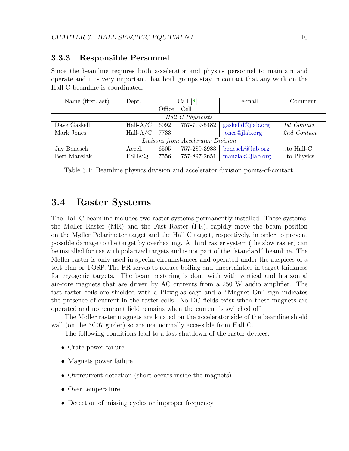#### <span id="page-10-0"></span>3.3.3 Responsible Personnel

Since the beamline requires both accelerator and physics personnel to maintain and operate and it is very important that both groups stay in contact that any work on the Hall C beamline is coordinated.

| Name (first, last)                 | Dept.            | Call $[8]$ |              | e-mail            | Comment     |  |  |  |  |
|------------------------------------|------------------|------------|--------------|-------------------|-------------|--|--|--|--|
|                                    |                  | Office     | Cell         |                   |             |  |  |  |  |
| Hall C Physicists                  |                  |            |              |                   |             |  |  |  |  |
| Dave Gaskell                       | $Hall-A/C$       | 6092       | 757-719-5482 | gaskelld@jlab.org | 1st Contact |  |  |  |  |
| Mark Jones                         | $Hall-A/C$       | 7733       |              | jones@jlab.org    | 2nd Contact |  |  |  |  |
| Liaisons from Accelerator Division |                  |            |              |                   |             |  |  |  |  |
| Jay Benesch                        | Accel.           | 6505       | 757-289-3983 | benesch@jlab.org  | to Hall-C   |  |  |  |  |
| Bert Manzlak                       | <b>ESH&amp;Q</b> | 7556       | 757-897-2651 | manzlak@jlab.org  | to Physics  |  |  |  |  |

Table 3.1: Beamline physics division and accelerator division points-of-contact.

# <span id="page-10-1"></span>3.4 Raster Systems

The Hall C beamline includes two raster systems permanently installed. These systems, the Møller Raster (MR) and the Fast Raster (FR), rapidly move the beam position on the Møller Polarimeter target and the Hall C target, respectively, in order to prevent possible damage to the target by overheating. A third raster system (the slow raster) can be installed for use with polarized targets and is not part of the "standard" beamline. The Møller raster is only used in special circumstances and operated under the auspices of a test plan or TOSP. The FR serves to reduce boiling and uncertainties in target thickness for cryogenic targets. The beam rastering is done with with vertical and horizontal air-core magnets that are driven by AC currents from a 250 W audio amplifier. The fast raster coils are shielded with a Plexiglas cage and a "Magnet On" sign indicates the presence of current in the raster coils. No DC fields exist when these magnets are operated and no remnant field remains when the current is switched off.

The Møller raster magnets are located on the accelerator side of the beamline shield wall (on the 3C07 girder) so are not normally accessible from Hall C.

The following conditions lead to a fast shutdown of the raster devices:

- Crate power failure
- Magnets power failure
- Overcurrent detection (short occurs inside the magnets)
- Over temperature
- Detection of missing cycles or improper frequency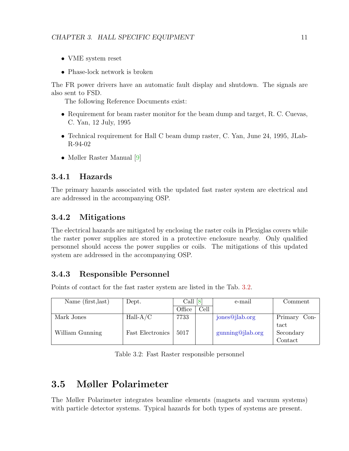- VME system reset
- Phase-lock network is broken

The FR power drivers have an automatic fault display and shutdown. The signals are also sent to FSD.

The following Reference Documents exist:

- Requirement for beam raster monitor for the beam dump and target, R. C. Cuevas, C. Yan, 12 July, 1995
- Technical requirement for Hall C beam dump raster, C. Yan, June 24, 1995, JLab-R-94-02
- Møller Raster Manual [\[9\]](#page-26-7)

#### <span id="page-11-0"></span>3.4.1 Hazards

The primary hazards associated with the updated fast raster system are electrical and are addressed in the accompanying OSP.

#### <span id="page-11-1"></span>3.4.2 Mitigations

The electrical hazards are mitigated by enclosing the raster coils in Plexiglas covers while the raster power supplies are stored in a protective enclosure nearby. Only qualified personnel should access the power supplies or coils. The mitigations of this updated system are addressed in the accompanying OSP.

#### <span id="page-11-2"></span>3.4.3 Responsible Personnel

Points of contact for the fast raster system are listed in the Tab. [3.2.](#page-11-4)

<span id="page-11-4"></span>

| Name (first, last) | Dept.                   | Call<br><u> 8</u> |      | e-mail           | Comment            |
|--------------------|-------------------------|-------------------|------|------------------|--------------------|
|                    |                         | Office            | Cell |                  |                    |
| Mark Jones         | $Hall-A/C$              | 7733              |      | jones@jlab.org   | Primary<br>$Con-$  |
|                    |                         |                   |      |                  | tact               |
| William Gunning    | <b>Fast Electronics</b> | 5017              |      | gunning@jlab.org | Secondary          |
|                    |                         |                   |      |                  | $\mathrm{Context}$ |

Table 3.2: Fast Raster responsible personnel

# <span id="page-11-3"></span>3.5 Møller Polarimeter

The Møller Polarimeter integrates beamline elements (magnets and vacuum systems) with particle detector systems. Typical hazards for both types of systems are present.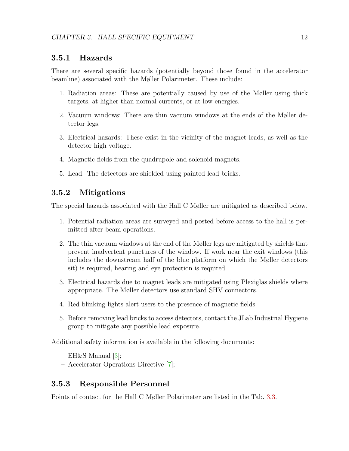#### <span id="page-12-0"></span>3.5.1 Hazards

There are several specific hazards (potentially beyond those found in the accelerator beamline) associated with the Møller Polarimeter. These include:

- 1. Radiation areas: These are potentially caused by use of the Møller using thick targets, at higher than normal currents, or at low energies.
- 2. Vacuum windows: There are thin vacuum windows at the ends of the Møller detector legs.
- 3. Electrical hazards: These exist in the vicinity of the magnet leads, as well as the detector high voltage.
- 4. Magnetic fields from the quadrupole and solenoid magnets.
- 5. Lead: The detectors are shielded using painted lead bricks.

#### <span id="page-12-1"></span>3.5.2 Mitigations

The special hazards associated with the Hall C Møller are mitigated as described below.

- 1. Potential radiation areas are surveyed and posted before access to the hall is permitted after beam operations.
- 2. The thin vacuum windows at the end of the Møller legs are mitigated by shields that prevent inadvertent punctures of the window. If work near the exit windows (this includes the downstream half of the blue platform on which the Møller detectors sit) is required, hearing and eye protection is required.
- 3. Electrical hazards due to magnet leads are mitigated using Plexiglas shields where appropriate. The Møller detectors use standard SHV connectors.
- 4. Red blinking lights alert users to the presence of magnetic fields.
- 5. Before removing lead bricks to access detectors, contact the JLab Industrial Hygiene group to mitigate any possible lead exposure.

Additional safety information is available in the following documents:

- $-$  EH&S Manual  $[3]$ ;
- Accelerator Operations Directive [\[7\]](#page-26-5);

#### <span id="page-12-2"></span>3.5.3 Responsible Personnel

Points of contact for the Hall C Møller Polarimeter are listed in the Tab. [3.3.](#page-13-2)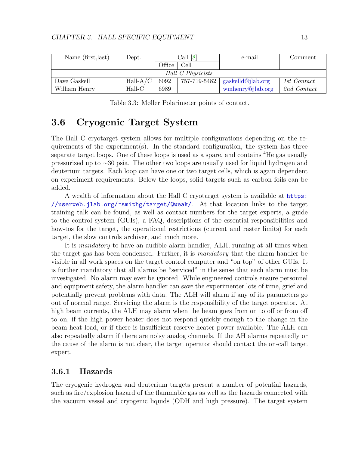<span id="page-13-2"></span>

| Name (first, last) | Dept.      |        | Call [8]     | e-mail            | Comment     |  |  |  |
|--------------------|------------|--------|--------------|-------------------|-------------|--|--|--|
|                    |            | Office | Cell         |                   |             |  |  |  |
| Hall C Physicists  |            |        |              |                   |             |  |  |  |
| Dave Gaskell       | $Hall-A/C$ | 6092   | 757-719-5482 | gaskelld@jlab.org | 1st Contact |  |  |  |
| William Henry      | $Hall-C$   | 6989   |              | wmhenry@jlab.org  | 2nd Contact |  |  |  |

Table 3.3: Møller Polarimeter points of contact.

# <span id="page-13-0"></span>3.6 Cryogenic Target System

The Hall C cryotarget system allows for multiple configurations depending on the requirements of the experiment(s). In the standard configuration, the system has three separate target loops. One of these loops is used as a spare, and contains <sup>4</sup>He gas usually pressurized up to ∼30 psia. The other two loops are usually used for liquid hydrogen and deuterium targets. Each loop can have one or two target cells, which is again dependent on experiment requirements. Below the loops, solid targets such as carbon foils can be added.

A wealth of information about the Hall C cryotarget system is available at [https:](https://userweb.jlab.org/~smithg/target/Qweak/) [//userweb.jlab.org/~smithg/target/Qweak/](https://userweb.jlab.org/~smithg/target/Qweak/). At that location links to the target training talk can be found, as well as contact numbers for the target experts, a guide to the control system (GUIs), a FAQ, descriptions of the essential responsibilities and how-tos for the target, the operational restrictions (current and raster limits) for each target, the slow controls archiver, and much more.

It is mandatory to have an audible alarm handler, ALH, running at all times when the target gas has been condensed. Further, it is mandatory that the alarm handler be visible in all work spaces on the target control computer and "on top" of other GUIs. It is further mandatory that all alarms be "serviced" in the sense that each alarm must be investigated. No alarm may ever be ignored. While engineered controls ensure personnel and equipment safety, the alarm handler can save the experimenter lots of time, grief and potentially prevent problems with data. The ALH will alarm if any of its parameters go out of normal range. Servicing the alarm is the responsibility of the target operator. At high beam currents, the ALH may alarm when the beam goes from on to off or from off to on, if the high power heater does not respond quickly enough to the change in the beam heat load, or if there is insufficient reserve heater power available. The ALH can also repeatedly alarm if there are noisy analog channels. If the AH alarms repeatedly or the cause of the alarm is not clear, the target operator should contact the on-call target expert.

#### <span id="page-13-1"></span>3.6.1 Hazards

The cryogenic hydrogen and deuterium targets present a number of potential hazards, such as fire/explosion hazard of the flammable gas as well as the hazards connected with the vacuum vessel and cryogenic liquids (ODH and high pressure). The target system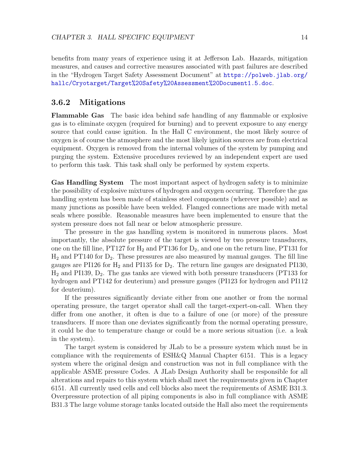benefits from many years of experience using it at Jefferson Lab. Hazards, mitigation measures, and causes and corrective measures associated with past failures are described in the "Hydrogen Target Safety Assessment Document" at [https://polweb.jlab.org/](https://polweb.jlab.org/hallc/Cryotarget/Target%20Safety%20Assessment%20Document1.5.doc) [hallc/Cryotarget/Target%20Safety%20Assessment%20Document1.5.doc](https://polweb.jlab.org/hallc/Cryotarget/Target%20Safety%20Assessment%20Document1.5.doc).

#### <span id="page-14-0"></span>3.6.2 Mitigations

Flammable Gas The basic idea behind safe handling of any flammable or explosive gas is to eliminate oxygen (required for burning) and to prevent exposure to any energy source that could cause ignition. In the Hall C environment, the most likely source of oxygen is of course the atmosphere and the most likely ignition sources are from electrical equipment. Oxygen is removed from the internal volumes of the system by pumping and purging the system. Extensive procedures reviewed by an independent expert are used to perform this task. This task shall only be performed by system experts.

Gas Handling System The most important aspect of hydrogen safety is to minimize the possibility of explosive mixtures of hydrogen and oxygen occurring. Therefore the gas handling system has been made of stainless steel components (wherever possible) and as many junctions as possible have been welded. Flanged connections are made with metal seals where possible. Reasonable measures have been implemented to ensure that the system pressure does not fall near or below atmospheric pressure.

The pressure in the gas handling system is monitored in numerous places. Most importantly, the absolute pressure of the target is viewed by two pressure transducers, one on the fill line, PT127 for  $H_2$  and PT136 for  $D_2$ , and one on the return line, PT131 for  $H_2$  and PT140 for  $D_2$ . These pressures are also measured by manual gauges. The fill line gauges are PI126 for  $H_2$  and PI135 for  $D_2$ . The return line gauges are designated PI130,  $H_2$  and PI139,  $D_2$ . The gas tanks are viewed with both pressure transducers (PT133 for hydrogen and PT142 for deuterium) and pressure gauges (PI123 for hydrogen and PI112 for deuterium).

If the pressures significantly deviate either from one another or from the normal operating pressure, the target operator shall call the target-expert-on-call. When they differ from one another, it often is due to a failure of one (or more) of the pressure transducers. If more than one deviates significantly from the normal operating pressure, it could be due to temperature change or could be a more serious situation (i.e. a leak in the system).

The target system is considered by JLab to be a pressure system which must be in compliance with the requirements of ESH&Q Manual Chapter 6151. This is a legacy system where the original design and construction was not in full compliance with the applicable ASME pressure Codes. A JLab Design Authority shall be responsible for all alterations and repairs to this system which shall meet the requirements given in Chapter 6151. All currently used cells and cell blocks also meet the requirements of ASME B31.3. Overpressure protection of all piping components is also in full compliance with ASME B31.3 The large volume storage tanks located outside the Hall also meet the requirements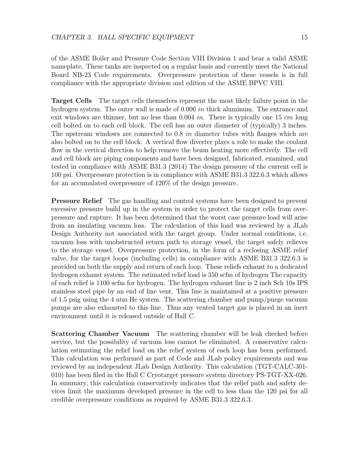of the ASME Boiler and Pressure Code Section VIII Division 1 and bear a valid ASME nameplate. These tanks are inspected on a regular basis and currently meet the National Board NB-23 Code requirements. Overpressure protection of these vessels is in full compliance with the appropriate division and edition of the ASME BPVC VIII.

Target Cells The target cells themselves represent the most likely failure point in the hydrogen system. The outer wall is made of 0.006 in thick aluminum. The entrance and exit windows are thinner, but no less than  $0.004$  in. There is typically one 15 cm long cell bolted on to each cell block. The cell has an outer diameter of (typically) 3 inches. The upstream windows are connected to 0.8 *in* diameter tubes with flanges which are also bolted on to the cell block. A vertical flow diverter plays a role to make the coolant flow in the vertical direction to help remove the beam heating more effectively. The cell and cell block are piping components and have been designed, fabricated, examined, and tested in compliance with ASME B31.3 (2014) The design pressure of the current cell is 100 psi. Overpressure protection is in compliance with ASME B31.3 322.6.3 which allows for an accumulated overpressure of 120% of the design pressure.

**Pressure Relief** The gas handling and control systems have been designed to prevent excessive pressure build up in the system in order to protect the target cells from overpressure and rupture. It has been determined that the worst case pressure load will arise from an insulating vacuum loss. The calculation of this load was reviewed by a JLab Design Authority not associated with the target group. Under normal conditions, i.e. vacuum loss with unobstructed return path to storage vessel, the target safely relieves to the storage vessel. Overpressure protection, in the form of a reclosing ASME relief valve, for the target loops (including cells) in compliance with ASME B31.3 322.6.3 is provided on both the supply and return of each loop. These reliefs exhaust to a dedicated hydrogen exhaust system. The estimated relief load is 350 scfm of hydrogen The capacity of each relief is 1100 scfm for hydrogen. The hydrogen exhaust line is 2 inch Sch 10s IPS stainless steel pipe by an end of line vent. This line is maintained at a positive pressure of 1.5 psig using the 4 atm He system. The scattering chamber and pump/purge vacuum pumps are also exhausted to this line. Thus any vented target gas is placed in an inert environment until it is released outside of Hall C.

Scattering Chamber Vacuum The scattering chamber will be leak checked before service, but the possibility of vacuum loss cannot be eliminated. A conservative calculation estimating the relief load on the relief system of each loop has been performed. This calculation was performed as part of Code and JLab policy requirements and was reviewed by an independent JLab Design Authority. This calculation (TGT-CALC-301- 010) has been filed in the Hall C Cryotarget pressure system directory PS-TGT-XX-026. In summary, this calculation conservatively indicates that the relief path and safety devices limit the maximum developed pressure in the cell to less than the 120 psi for all credible overpressure conditions as required by ASME B31.3 322.6.3.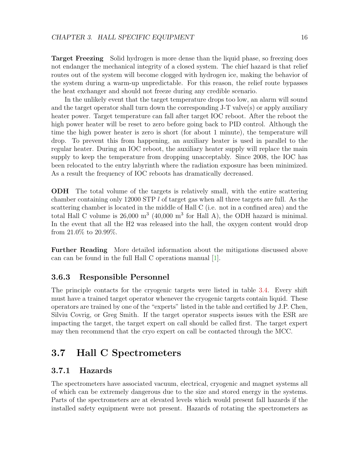**Target Freezing** Solid hydrogen is more dense than the liquid phase, so freezing does not endanger the mechanical integrity of a closed system. The chief hazard is that relief routes out of the system will become clogged with hydrogen ice, making the behavior of the system during a warm-up unpredictable. For this reason, the relief route bypasses the heat exchanger and should not freeze during any credible scenario.

In the unlikely event that the target temperature drops too low, an alarm will sound and the target operator shall turn down the corresponding J-T valve(s) or apply auxiliary heater power. Target temperature can fall after target IOC reboot. After the reboot the high power heater will be reset to zero before going back to PID control. Although the time the high power heater is zero is short (for about 1 minute), the temperature will drop. To prevent this from happening, an auxiliary heater is used in parallel to the regular heater. During an IOC reboot, the auxiliary heater supply will replace the main supply to keep the temperature from dropping unacceptably. Since 2008, the IOC has been relocated to the entry labyrinth where the radiation exposure has been minimized. As a result the frequency of IOC reboots has dramatically decreased.

ODH The total volume of the targets is relatively small, with the entire scattering chamber containing only 12000 STP  $l$  of target gas when all three targets are full. As the scattering chamber is located in the middle of Hall C (i.e. not in a confined area) and the total Hall C volume is  $26,000 \text{ m}^3$  (40,000 m<sup>3</sup> for Hall A), the ODH hazard is minimal. In the event that all the H2 was released into the hall, the oxygen content would drop from 21.0% to 20.99%.

Further Reading More detailed information about the mitigations discussed above can can be found in the full Hall C operations manual [\[1\]](#page-26-0).

#### <span id="page-16-0"></span>3.6.3 Responsible Personnel

The principle contacts for the cryogenic targets were listed in table [3.4.](#page-17-1) Every shift must have a trained target operator whenever the cryogenic targets contain liquid. These operators are trained by one of the "experts" listed in the table and certified by J.P. Chen, Silviu Covrig, or Greg Smith. If the target operator suspects issues with the ESR are impacting the target, the target expert on call should be called first. The target expert may then recommend that the cryo expert on call be contacted through the MCC.

# <span id="page-16-1"></span>3.7 Hall C Spectrometers

#### <span id="page-16-2"></span>3.7.1 Hazards

The spectrometers have associated vacuum, electrical, cryogenic and magnet systems all of which can be extremely dangerous due to the size and stored energy in the systems. Parts of the spectrometers are at elevated levels which would present fall hazards if the installed safety equipment were not present. Hazards of rotating the spectrometers as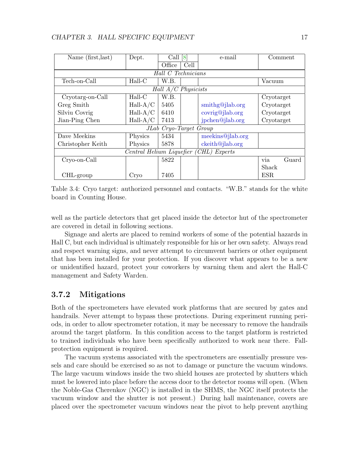<span id="page-17-1"></span>

| Name (first, last)                     | Dept.      | Call $[8]$             |      | e-mail           | Comment      |  |  |  |  |
|----------------------------------------|------------|------------------------|------|------------------|--------------|--|--|--|--|
|                                        |            | Office                 | Cell |                  |              |  |  |  |  |
| Hall C Technicians                     |            |                        |      |                  |              |  |  |  |  |
| Tech-on-Call                           | $Hall-C$   | W.B.                   |      |                  | Vacuum       |  |  |  |  |
|                                        |            | Hall $A/C$ Physicists  |      |                  |              |  |  |  |  |
| Cryotarg-on-Call                       | $Hall-C$   | W.B.                   |      |                  | Cryotarget   |  |  |  |  |
| Greg Smith                             | $Hall-A/C$ | 5405                   |      | smithg@jlab.org  | Cryotarget   |  |  |  |  |
| Silviu Covrig                          | $Hall-A/C$ | 6410                   |      | covrig@jlab.org  | Cryotarget   |  |  |  |  |
| $Hall-A/C$<br>Jian-Ping Chen           |            | 7413                   |      | jpchen@jlab.org  | Cryotarget   |  |  |  |  |
|                                        |            | JLab Cryo-Target Group |      |                  |              |  |  |  |  |
| Dave Meekins                           | Physics    | 5434                   |      | meekins@jlab.org |              |  |  |  |  |
| Christopher Keith                      | Physics    | 5878                   |      | ckeith@jlab.org  |              |  |  |  |  |
| Central Helium Liquefier (CHL) Experts |            |                        |      |                  |              |  |  |  |  |
| Cryo-on-Call                           |            | 5822                   |      |                  | Guard<br>via |  |  |  |  |
|                                        |            |                        |      |                  | Shack        |  |  |  |  |
| CHL-group                              | Crvo       | 7405                   |      |                  | ESR          |  |  |  |  |

Table 3.4: Cryo target: authorized personnel and contacts. "W.B." stands for the white board in Counting House.

well as the particle detectors that get placed inside the detector hut of the spectrometer are covered in detail in following sections.

Signage and alerts are placed to remind workers of some of the potential hazards in Hall C, but each individual is ultimately responsible for his or her own safety. Always read and respect warning signs, and never attempt to circumvent barriers or other equipment that has been installed for your protection. If you discover what appears to be a new or unidentified hazard, protect your coworkers by warning them and alert the Hall-C management and Safety Warden.

#### <span id="page-17-0"></span>3.7.2 Mitigations

Both of the spectrometers have elevated work platforms that are secured by gates and handrails. Never attempt to bypass these protections. During experiment running periods, in order to allow spectrometer rotation, it may be necessary to remove the handrails around the target platform. In this condition access to the target platform is restricted to trained individuals who have been specifically authorized to work near there. Fallprotection equipment is required.

The vacuum systems associated with the spectrometers are essentially pressure vessels and care should be exercised so as not to damage or puncture the vacuum windows. The large vacuum windows inside the two shield houses are protected by shutters which must be lowered into place before the access door to the detector rooms will open. (When the Noble-Gas Cherenkov (NGC) is installed in the SHMS, the NGC itself protects the vacuum window and the shutter is not present.) During hall maintenance, covers are placed over the spectrometer vacuum windows near the pivot to help prevent anything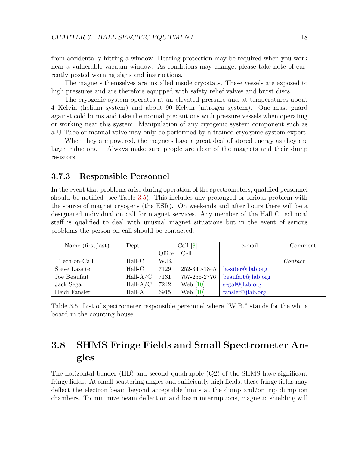from accidentally hitting a window. Hearing protection may be required when you work near a vulnerable vacuum window. As conditions may change, please take note of currently posted warning signs and instructions.

The magnets themselves are installed inside cryostats. These vessels are exposed to high pressures and are therefore equipped with safety relief valves and burst discs.

The cryogenic system operates at an elevated pressure and at temperatures about 4 Kelvin (helium system) and about 90 Kelvin (nitrogen system). One must guard against cold burns and take the normal precautions with pressure vessels when operating or working near this system. Manipulation of any cryogenic system component such as a U-Tube or manual valve may only be performed by a trained cryogenic-system expert.

When they are powered, the magnets have a great deal of stored energy as they are large inductors. Always make sure people are clear of the magnets and their dump resistors.

#### <span id="page-18-0"></span>3.7.3 Responsible Personnel

In the event that problems arise during operation of the spectrometers, qualified personnel should be notified (see Table [3.5\)](#page-18-2). This includes any prolonged or serious problem with the source of magnet cryogens (the ESR). On weekends and after hours there will be a designated individual on call for magnet services. Any member of the Hall C technical staff is qualified to deal with unusual magnet situations but in the event of serious problems the person on call should be contacted.

<span id="page-18-2"></span>

| Name (first, last) | Dept.      | Call [8] |              | e-mail            | Comment            |
|--------------------|------------|----------|--------------|-------------------|--------------------|
|                    |            | Office   | Cell         |                   |                    |
| Tech-on-Call       | $Hall-C$   | W.B.     |              |                   | $\mathit{Context}$ |
| Steve Lassiter     | $Hall-C$   | 7129     | 252-340-1845 | lassiter@jlab.org |                    |
| Joe Beaufait       | $Hall-A/C$ | 7131     | 757-256-2776 | beaufait@jlab.org |                    |
| Jack Segal         | $Hall-A/C$ | 7242     | Web $[10]$   | segal@jlab.org    |                    |
| Heidi Fansler      | Hall-A     | 6915     | Web $[10]$   | fansler@jlab.org  |                    |

Table 3.5: List of spectrometer responsible personnel where "W.B." stands for the white board in the counting house.

# <span id="page-18-1"></span>3.8 SHMS Fringe Fields and Small Spectrometer Angles

The horizontal bender (HB) and second quadrupole (Q2) of the SHMS have significant fringe fields. At small scattering angles and sufficiently high fields, these fringe fields may deflect the electron beam beyond acceptable limits at the dump and/or trip dump ion chambers. To minimize beam deflection and beam interruptions, magnetic shielding will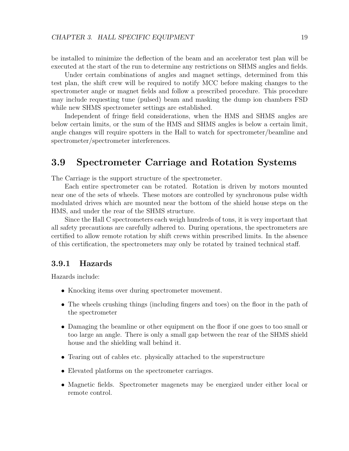be installed to minimize the deflection of the beam and an accelerator test plan will be executed at the start of the run to determine any restrictions on SHMS angles and fields.

Under certain combinations of angles and magnet settings, determined from this test plan, the shift crew will be required to notify MCC before making changes to the spectrometer angle or magnet fields and follow a prescribed procedure. This procedure may include requesting tune (pulsed) beam and masking the dump ion chambers FSD while new SHMS spectrometer settings are established.

Independent of fringe field considerations, when the HMS and SHMS angles are below certain limits, or the sum of the HMS and SHMS angles is below a certain limit, angle changes will require spotters in the Hall to watch for spectrometer/beamline and spectrometer/spectrometer interferences.

# <span id="page-19-0"></span>3.9 Spectrometer Carriage and Rotation Systems

The Carriage is the support structure of the spectrometer.

Each entire spectrometer can be rotated. Rotation is driven by motors mounted near one of the sets of wheels. These motors are controlled by synchronous pulse width modulated drives which are mounted near the bottom of the shield house steps on the HMS, and under the rear of the SHMS structure.

Since the Hall C spectrometers each weigh hundreds of tons, it is very important that all safety precautions are carefully adhered to. During operations, the spectrometers are certified to allow remote rotation by shift crews within prescribed limits. In the absence of this certification, the spectrometers may only be rotated by trained technical staff.

#### <span id="page-19-1"></span>3.9.1 Hazards

Hazards include:

- Knocking items over during spectrometer movement.
- The wheels crushing things (including fingers and toes) on the floor in the path of the spectrometer
- Damaging the beamline or other equipment on the floor if one goes to too small or too large an angle. There is only a small gap between the rear of the SHMS shield house and the shielding wall behind it.
- Tearing out of cables etc. physically attached to the superstructure
- Elevated platforms on the spectrometer carriages.
- Magnetic fields. Spectrometer magenets may be energized under either local or remote control.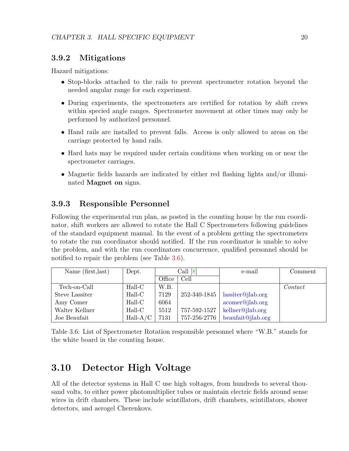#### <span id="page-20-0"></span>3.9.2 Mitigations

Hazard mitigations:

- Stop-blocks attached to the rails to prevent spectrometer rotation beyond the needed angular range for each experiment.
- During experiments, the spectrometers are certified for rotation by shift crews within specied angle ranges. Spectrometer movement at other times may only be performed by authorized personnel.
- Hand rails are installed to prevent falls. Access is only allowed to areas on the carriage protected by hand rails.
- Hard hats may be required under certain conditions when working on or near the spectrometer carriages.
- Magnetic fields hazards are indicated by either red flashing lights and/or illuminated Magnet on signs.

#### <span id="page-20-1"></span>3.9.3 Responsible Personnel

Following the experimental run plan, as posted in the counting house by the run coordinator, shift workers are allowed to rotate the Hall C Spectrometers following guidelines of the standard equipment manual. In the event of a problem getting the spectrometers to rotate the run coordinator should notified. If the run coordinator is unable to solve the problem, and with the run coordinators concurrence, qualified personnel should be notified to repair the problem (see Table [3.6\)](#page-20-3).

<span id="page-20-3"></span>

| Name (first, last) | Dept.      | Call [8] |              | e-mail            | Comment            |
|--------------------|------------|----------|--------------|-------------------|--------------------|
|                    |            | Office   | Cell         |                   |                    |
| Tech-on-Call       | Hall-C     | W.B.     |              |                   | $\mathit{Context}$ |
| Steve Lassiter     | Hall-C     | 7129     | 252-340-1845 | lassiter@jlab.org |                    |
| Amy Comer          | $Hall-C$   | 6064     |              | acomer@jlab.org   |                    |
| Walter Kellner     | $Hall-C$   | 5512     | 757-592-1527 | kellner@jlab.org  |                    |
| Joe Beaufait       | $Hall-A/C$ | 7131     | 757-256-2776 | beaufait@jlab.org |                    |

Table 3.6: List of Spectrometer Rotation responsible personnel where "W.B." stands for the white board in the counting house.

# <span id="page-20-2"></span>3.10 Detector High Voltage

All of the detector systems in Hall C use high voltages, from hundreds to several thousand volts, to either power photomultiplier tubes or maintain electric fields around sense wires in drift chambers. These include scintillators, drift chambers, scintillators, shower detectors, and aerogel Cherenkovs.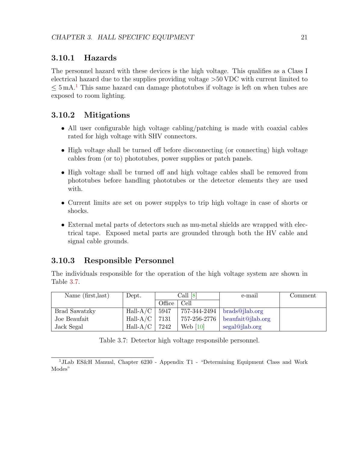#### <span id="page-21-0"></span>3.10.1 Hazards

The personnel hazard with these devices is the high voltage. This qualifies as a Class I electrical hazard due to the supplies providing voltage >50 VDC with current limited to  $\leq 5 \,\mathrm{mA}$ .<sup>[1](#page-21-3)</sup> This same hazard can damage phototubes if voltage is left on when tubes are exposed to room lighting.

#### <span id="page-21-1"></span>3.10.2 Mitigations

- All user configurable high voltage cabling/patching is made with coaxial cables rated for high voltage with SHV connectors.
- High voltage shall be turned off before disconnecting (or connecting) high voltage cables from (or to) phototubes, power supplies or patch panels.
- High voltage shall be turned off and high voltage cables shall be removed from phototubes before handling phototubes or the detector elements they are used with.
- Current limits are set on power supplys to trip high voltage in case of shorts or shocks.
- External metal parts of detectors such as mu-metal shields are wrapped with electrical tape. Exposed metal parts are grounded through both the HV cable and signal cable grounds.

#### <span id="page-21-2"></span>3.10.3 Responsible Personnel

The individuals responsible for the operation of the high voltage system are shown in Table [3.7.](#page-21-4)

<span id="page-21-4"></span>

| Name (first, last)   | Dept.       | Call $[8]$ |            | e-mail                           | Comment |
|----------------------|-------------|------------|------------|----------------------------------|---------|
|                      |             | Office     | Cell       |                                  |         |
| <b>Brad Sawatzky</b> | $Hall-A/C$  | 5947       |            | $757-344-2494$   brads@jlab.org  |         |
| Joe Beaufait         | Hall- $A/C$ | 7131       |            | 757-256-2776   beaufait@jlab.org |         |
| Jack Segal           | $Hall-A/C$  | 7242       | Web $[10]$ | segal@jlab.org                   |         |

Table 3.7: Detector high voltage responsible personnel.

<span id="page-21-3"></span><sup>1</sup>JLab ES&H Manual, Chapter 6230 - Appendix T1 - "Determining Equipment Class and Work Modes"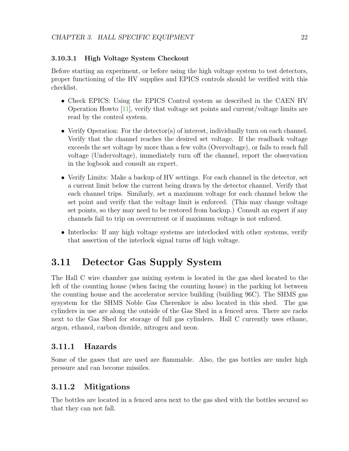#### <span id="page-22-0"></span>3.10.3.1 High Voltage System Checkout

Before starting an experiment, or before using the high voltage system to test detectors, proper functioning of the HV supplies and EPICS controls should be verified with this checklist.

- Check EPICS: Using the EPICS Control system as described in the CAEN HV Operation Howto [\[11\]](#page-26-9), verify that voltage set points and current/voltage limits are read by the control system.
- Verify Operation: For the detector(s) of interest, individually turn on each channel. Verify that the channel reaches the desired set voltage. If the readback voltage exceeds the set voltage by more than a few volts (Overvoltage), or fails to reach full voltage (Undervoltage), immediately turn off the channel, report the observation in the logbook and consult an expert.
- Verify Limits: Make a backup of HV settings. For each channel in the detector, set a current limit below the current being drawn by the detector channel. Verify that each channel trips. Similarly, set a maximum voltage for each channel below the set point and verify that the voltage limit is enforced. (This may change voltage set points, so they may need to be restored from backup.) Consult an expert if any channels fail to trip on overcurrent or if maximum voltage is not enfored.
- Interlocks: If any high voltage systems are interlocked with other systems, verify that assertion of the interlock signal turns off high voltage.

# <span id="page-22-1"></span>3.11 Detector Gas Supply System

The Hall C wire chamber gas mixing system is located in the gas shed located to the left of the counting house (when facing the counting house) in the parking lot between the counting house and the accelerator service building (building 96C). The SHMS gas sysystem for the SHMS Noble Gas Cherenkov is also located in this shed. The gas cylinders in use are along the outside of the Gas Shed in a fenced area. There are racks next to the Gas Shed for storage of full gas cylinders. Hall C currently uses ethane, argon, ethanol, carbon dioxide, nitrogen and neon.

#### <span id="page-22-2"></span>3.11.1 Hazards

Some of the gases that are used are flammable. Also, the gas bottles are under high pressure and can become missiles.

#### <span id="page-22-3"></span>3.11.2 Mitigations

The bottles are located in a fenced area next to the gas shed with the bottles secured so that they can not fall.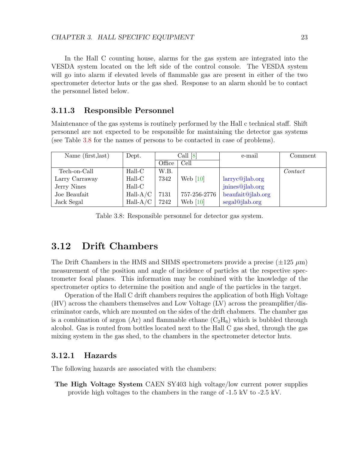In the Hall C counting house, alarms for the gas system are integrated into the VESDA system located on the left side of the control console. The VESDA system will go into alarm if elevated levels of flammable gas are present in either of the two spectrometer detector huts or the gas shed. Response to an alarm should be to contact the personnel listed below.

#### <span id="page-23-0"></span>3.11.3 Responsible Personnel

Maintenance of the gas systems is routinely performed by the Hall c technical staff. Shift personnel are not expected to be responsible for maintaining the detector gas systems (see Table [3.8](#page-23-3) for the names of persons to be contacted in case of problems).

<span id="page-23-3"></span>

| Name (first, last) | Dept.      | Call [8] |              | e-mail            | Comment |
|--------------------|------------|----------|--------------|-------------------|---------|
|                    |            | Office   | Cell         |                   |         |
| Tech-on-Call       | $Hall-C$   | W.B.     |              |                   | Contact |
| Larry Carraway     | Hall-C     | 7342     | Web $[10]$   | larrow@jlab.org   |         |
| Jerry Nines        | $Hall-C$   |          |              | jnines@jlab.org   |         |
| Joe Beaufait       | $Hall-A/C$ | 7131     | 757-256-2776 | beaufait@jlab.org |         |
| Jack Segal         | $Hall-A/C$ | 7242     | Web $[10]$   | segal@jlab.org    |         |

Table 3.8: Responsible personnel for detector gas system.

# <span id="page-23-1"></span>3.12 Drift Chambers

The Drift Chambers in the HMS and SHMS spectrometers provide a precise  $(\pm 125 \ \mu m)$ measurement of the position and angle of incidence of particles at the respective spectrometer focal planes. This information may be combined with the knowledge of the spectrometer optics to determine the position and angle of the particles in the target.

Operation of the Hall C drift chambers requires the application of both High Voltage (HV) across the chambers themselves and Low Voltage (LV) across the preamplifier/discriminator cards, which are mounted on the sides of the drift chabmers. The chamber gas is a combination of argon (Ar) and flammable ethane  $(C_2H_6)$  which is bubbled through alcohol. Gas is routed from bottles located next to the Hall C gas shed, through the gas mixing system in the gas shed, to the chambers in the spectrometer detector huts.

#### <span id="page-23-2"></span>3.12.1 Hazards

The following hazards are associated with the chambers:

The High Voltage System CAEN SY403 high voltage/low current power supplies provide high voltages to the chambers in the range of -1.5 kV to -2.5 kV.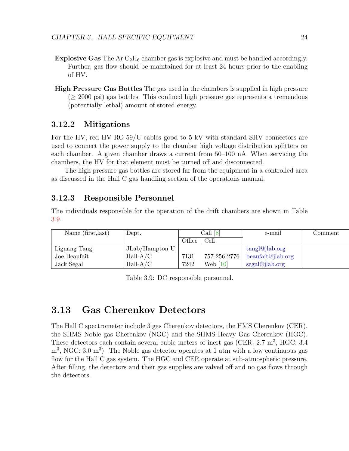- **Explosive Gas** The Ar  $C_2H_6$  chamber gas is explosive and must be handled accordingly. Further, gas flow should be maintained for at least 24 hours prior to the enabling of HV.
- High Pressure Gas Bottles The gas used in the chambers is supplied in high pressure  $(≥ 2000 \text{ psi})$  gas bottles. This confined high pressure gas represents a tremendous (potentially lethal) amount of stored energy.

#### <span id="page-24-0"></span>3.12.2 Mitigations

For the HV, red HV RG-59/U cables good to 5 kV with standard SHV connectors are used to connect the power supply to the chamber high voltage distribution splitters on each chamber. A given chamber draws a current from 50–100 nA. When servicing the chambers, the HV for that element must be turned off and disconnected.

The high pressure gas bottles are stored far from the equipment in a controlled area as discussed in the Hall C gas handling section of the operations manual.

#### <span id="page-24-1"></span>3.12.3 Responsible Personnel

The individuals responsible for the operation of the drift chambers are shown in Table [3.9.](#page-24-3)

<span id="page-24-3"></span>

| Name (first, last) | Dept.            |        | Call $[8]$   | e-mail            | $\mathop{\rm Comment}\nolimits$ |
|--------------------|------------------|--------|--------------|-------------------|---------------------------------|
|                    |                  | Office | Cell         |                   |                                 |
| Liguang Tang       | $JLab/Hampton$ U |        |              | tangl@jlab.org    |                                 |
| Joe Beaufait       | $Hall-A/C$       | 7131   | 757-256-2776 | beaufait@jlab.org |                                 |
| Jack Segal         | $Hall-A/C$       | 7242   | Web $[10]$   | segal@jlab.org    |                                 |

Table 3.9: DC responsible personnel.

## <span id="page-24-2"></span>3.13 Gas Cherenkov Detectors

The Hall C spectrometer include 3 gas Cherenkov detectors, the HMS Cherenkov (CER), the SHMS Noble gas Cherenkov (NGC) and the SHMS Heavy Gas Cherenkov (HGC). These detectors each contain several cubic meters of inert gas (CER: 2.7 m<sup>3</sup>, HGC: 3.4  $\rm m^3$ , NGC: 3.0  $\rm m^3$ ). The Noble gas detector operates at 1 atm with a low continuous gas flow for the Hall C gas system. The HGC and CER operate at sub-atmospheric pressure. After filling, the detectors and their gas supplies are valved off and no gas flows through the detectors.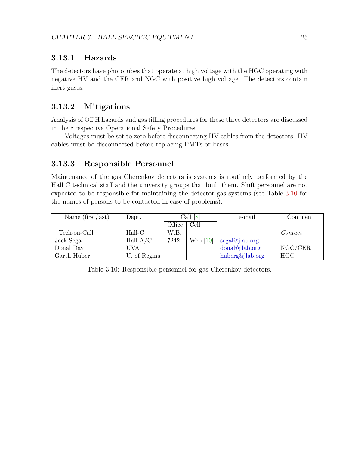#### <span id="page-25-0"></span>3.13.1 Hazards

The detectors have phototubes that operate at high voltage with the HGC operating with negative HV and the CER and NGC with positive high voltage. The detectors contain inert gases.

#### <span id="page-25-1"></span>3.13.2 Mitigations

Analysis of ODH hazards and gas filling procedures for these three detectors are discussed in their respective Operational Safety Procedures.

Voltages must be set to zero before disconnecting HV cables from the detectors. HV cables must be disconnected before replacing PMTs or bases.

#### <span id="page-25-2"></span>3.13.3 Responsible Personnel

Maintenance of the gas Cherenkov detectors is systems is routinely performed by the Hall C technical staff and the university groups that built them. Shift personnel are not expected to be responsible for maintaining the detector gas systems (see Table [3.10](#page-25-3) for the names of persons to be contacted in case of problems).

<span id="page-25-3"></span>

| Name (first, last) | Dept.        | Call [8] |            | e-mail          | Comment            |
|--------------------|--------------|----------|------------|-----------------|--------------------|
|                    |              | Office   | Cell       |                 |                    |
| Tech-on-Call       | Hall-C       | W.B.     |            |                 | $\mathit{Context}$ |
| Jack Segal         | $Hall-A/C$   | 7242     | Web $[10]$ | segal@jlab.org  |                    |
| Donal Day          | UVA          |          |            | donal@jlab.org  | NGC/CER            |
| Garth Huber        | U. of Regina |          |            | huberg@jlab.org | <b>HGC</b>         |

Table 3.10: Responsible personnel for gas Cherenkov detectors.